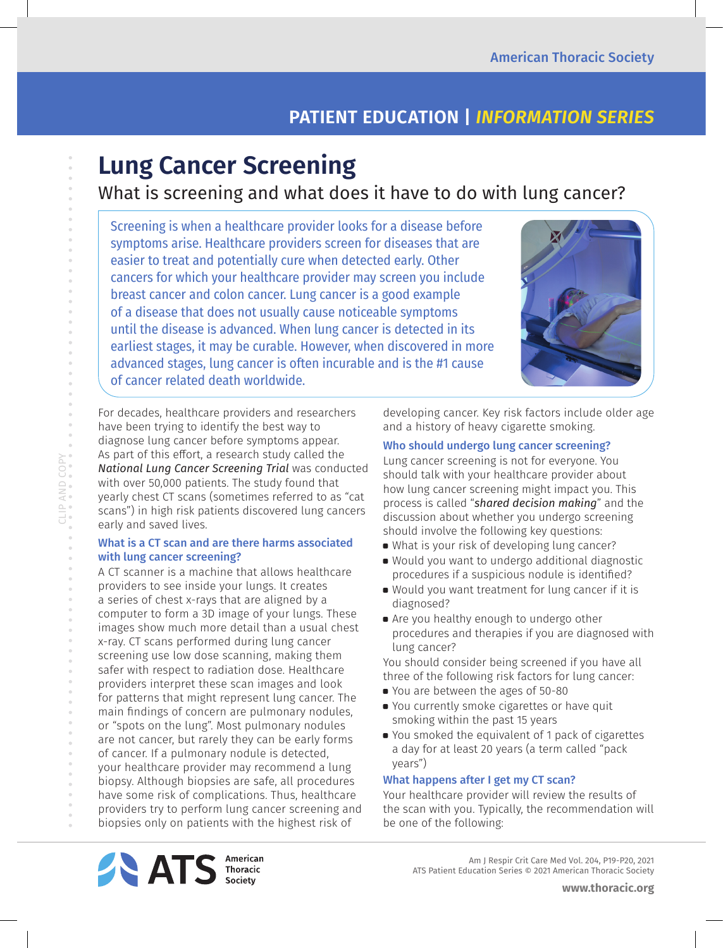# **PATIENT EDUCATION |** *INFORMATION SERIES*

# **Lung Cancer Screening**

## What is screening and what does it have to do with lung cancer?

Screening is when a healthcare provider looks for a disease before symptoms arise. Healthcare providers screen for diseases that are easier to treat and potentially cure when detected early. Other cancers for which your healthcare provider may screen you include breast cancer and colon cancer. Lung cancer is a good example of a disease that does not usually cause noticeable symptoms until the disease is advanced. When lung cancer is detected in its earliest stages, it may be curable. However, when discovered in more advanced stages, lung cancer is often incurable and is the #1 cause of cancer related death worldwide.



For decades, healthcare providers and researchers have been trying to identify the best way to diagnose lung cancer before symptoms appear. As part of this effort, a research study called the *National Lung Cancer Screening Trial* was conducted with over 50,000 patients. The study found that yearly chest CT scans (sometimes referred to as "cat scans") in high risk patients discovered lung cancers early and saved lives.

#### What is a CT scan and are there harms associated with lung cancer screening?

CLIP AND COPY

CLIPAND COPY

 $\begin{array}{c} \circ \\ \circ \end{array}$  $\bar{\theta}$ 

> A CT scanner is a machine that allows healthcare providers to see inside your lungs. It creates a series of chest x-rays that are aligned by a computer to form a 3D image of your lungs. These images show much more detail than a usual chest x-ray. CT scans performed during lung cancer screening use low dose scanning, making them safer with respect to radiation dose. Healthcare providers interpret these scan images and look for patterns that might represent lung cancer. The main findings of concern are pulmonary nodules, or "spots on the lung". Most pulmonary nodules are not cancer, but rarely they can be early forms of cancer. If a pulmonary nodule is detected, your healthcare provider may recommend a lung biopsy. Although biopsies are safe, all procedures have some risk of complications. Thus, healthcare providers try to perform lung cancer screening and biopsies only on patients with the highest risk of

developing cancer. Key risk factors include older age and a history of heavy cigarette smoking.

#### Who should undergo lung cancer screening?

Lung cancer screening is not for everyone. You should talk with your healthcare provider about how lung cancer screening might impact you. This process is called "*shared decision making*" and the discussion about whether you undergo screening should involve the following key questions:

- What is your risk of developing lung cancer?
- a Would you want to undergo additional diagnostic procedures if a suspicious nodule is identified?
- a Would you want treatment for lung cancer if it is diagnosed?
- a Are you healthy enough to undergo other procedures and therapies if you are diagnosed with lung cancer?

You should consider being screened if you have all three of the following risk factors for lung cancer:

- a You are between the ages of 50-80
- a You currently smoke cigarettes or have quit smoking within the past 15 years
- a You smoked the equivalent of 1 pack of cigarettes a day for at least 20 years (a term called "pack years")

#### What happens after I get my CT scan?

Your healthcare provider will review the results of the scan with you. Typically, the recommendation will be one of the following: